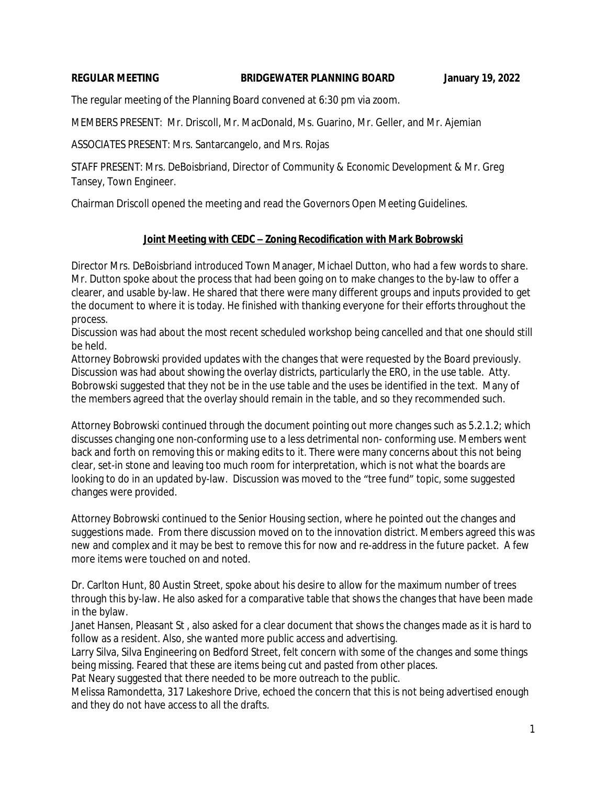#### **REGULAR MEETING BRIDGEWATER PLANNING BOARD January 19, 2022**

The regular meeting of the Planning Board convened at 6:30 pm via zoom.

MEMBERS PRESENT: Mr. Driscoll, Mr. MacDonald, Ms. Guarino, Mr. Geller, and Mr. Ajemian

ASSOCIATES PRESENT: Mrs. Santarcangelo, and Mrs. Rojas

STAFF PRESENT: Mrs. DeBoisbriand, Director of Community & Economic Development & Mr. Greg Tansey, Town Engineer.

Chairman Driscoll opened the meeting and read the Governors Open Meeting Guidelines.

## **Joint Meeting with CEDC – Zoning Recodification with Mark Bobrowski**

Director Mrs. DeBoisbriand introduced Town Manager, Michael Dutton, who had a few words to share. Mr. Dutton spoke about the process that had been going on to make changes to the by-law to offer a clearer, and usable by-law. He shared that there were many different groups and inputs provided to get the document to where it is today. He finished with thanking everyone for their efforts throughout the process.

Discussion was had about the most recent scheduled workshop being cancelled and that one should still be held.

Attorney Bobrowski provided updates with the changes that were requested by the Board previously. Discussion was had about showing the overlay districts, particularly the ERO, in the use table. Atty. Bobrowski suggested that they not be in the use table and the uses be identified in the text. Many of the members agreed that the overlay should remain in the table, and so they recommended such.

Attorney Bobrowski continued through the document pointing out more changes such as 5.2.1.2; which discusses changing one non-conforming use to a less detrimental non- conforming use. Members went back and forth on removing this or making edits to it. There were many concerns about this not being clear, set-in stone and leaving too much room for interpretation, which is not what the boards are looking to do in an updated by-law. Discussion was moved to the "tree fund" topic, some suggested changes were provided.

Attorney Bobrowski continued to the Senior Housing section, where he pointed out the changes and suggestions made. From there discussion moved on to the innovation district. Members agreed this was new and complex and it may be best to remove this for now and re-address in the future packet. A few more items were touched on and noted.

Dr. Carlton Hunt, 80 Austin Street, spoke about his desire to allow for the maximum number of trees through this by-law. He also asked for a comparative table that shows the changes that have been made in the bylaw.

Janet Hansen, Pleasant St , also asked for a clear document that shows the changes made as it is hard to follow as a resident. Also, she wanted more public access and advertising.

Larry Silva, Silva Engineering on Bedford Street, felt concern with some of the changes and some things being missing. Feared that these are items being cut and pasted from other places.

Pat Neary suggested that there needed to be more outreach to the public.

Melissa Ramondetta, 317 Lakeshore Drive, echoed the concern that this is not being advertised enough and they do not have access to all the drafts.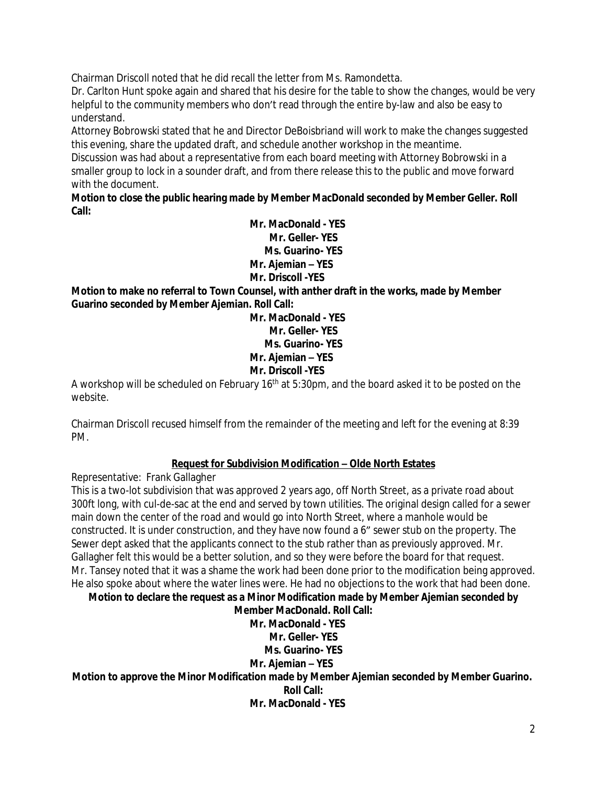Chairman Driscoll noted that he did recall the letter from Ms. Ramondetta.

Dr. Carlton Hunt spoke again and shared that his desire for the table to show the changes, would be very helpful to the community members who don't read through the entire by-law and also be easy to understand.

Attorney Bobrowski stated that he and Director DeBoisbriand will work to make the changes suggested this evening, share the updated draft, and schedule another workshop in the meantime.

Discussion was had about a representative from each board meeting with Attorney Bobrowski in a smaller group to lock in a sounder draft, and from there release this to the public and move forward with the document.

**Motion to close the public hearing made by Member MacDonald seconded by Member Geller. Roll Call:**

> **Mr. MacDonald - YES Mr. Geller- YES Ms. Guarino- YES Mr. Ajemian – YES Mr. Driscoll -YES**

**Motion to make no referral to Town Counsel, with anther draft in the works, made by Member Guarino seconded by Member Ajemian. Roll Call:**

> **Mr. MacDonald - YES Mr. Geller- YES Ms. Guarino- YES Mr. Ajemian – YES Mr. Driscoll -YES**

A workshop will be scheduled on February 16<sup>th</sup> at 5:30pm, and the board asked it to be posted on the website.

Chairman Driscoll recused himself from the remainder of the meeting and left for the evening at 8:39 PM.

## **Request for Subdivision Modification – Olde North Estates**

Representative: Frank Gallagher

This is a two-lot subdivision that was approved 2 years ago, off North Street, as a private road about 300ft long, with cul-de-sac at the end and served by town utilities. The original design called for a sewer main down the center of the road and would go into North Street, where a manhole would be constructed. It is under construction, and they have now found a 6" sewer stub on the property. The Sewer dept asked that the applicants connect to the stub rather than as previously approved. Mr. Gallagher felt this would be a better solution, and so they were before the board for that request. Mr. Tansey noted that it was a shame the work had been done prior to the modification being approved. He also spoke about where the water lines were. He had no objections to the work that had been done.

**Motion to declare the request as a Minor Modification made by Member Ajemian seconded by**

**Member MacDonald. Roll Call: Mr. MacDonald - YES Mr. Geller- YES Ms. Guarino- YES Mr. Ajemian – YES Motion to approve the Minor Modification made by Member Ajemian seconded by Member Guarino. Roll Call: Mr. MacDonald - YES**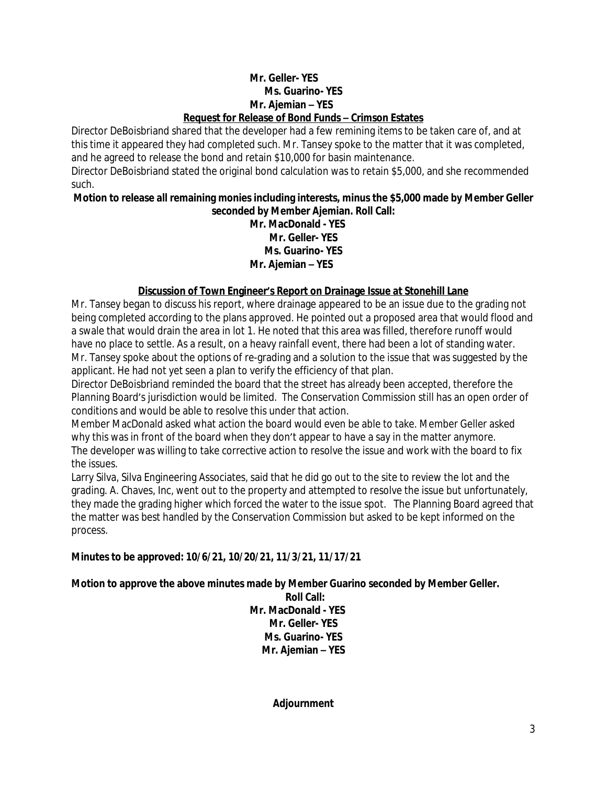### **Mr. Geller- YES Ms. Guarino- YES Mr. Ajemian – YES Request for Release of Bond Funds – Crimson Estates**

Director DeBoisbriand shared that the developer had a few remining items to be taken care of, and at this time it appeared they had completed such. Mr. Tansey spoke to the matter that it was completed, and he agreed to release the bond and retain \$10,000 for basin maintenance.

Director DeBoisbriand stated the original bond calculation was to retain \$5,000, and she recommended such.

#### **Motion to release all remaining monies including interests, minus the \$5,000 made by Member Geller seconded by Member Ajemian. Roll Call:**

## **Mr. MacDonald - YES Mr. Geller- YES Ms. Guarino- YES Mr. Ajemian – YES**

## **Discussion of Town Engineer's Report on Drainage Issue at Stonehill Lane**

Mr. Tansey began to discuss his report, where drainage appeared to be an issue due to the grading not being completed according to the plans approved. He pointed out a proposed area that would flood and a swale that would drain the area in lot 1. He noted that this area was filled, therefore runoff would have no place to settle. As a result, on a heavy rainfall event, there had been a lot of standing water. Mr. Tansey spoke about the options of re-grading and a solution to the issue that was suggested by the applicant. He had not yet seen a plan to verify the efficiency of that plan.

Director DeBoisbriand reminded the board that the street has already been accepted, therefore the Planning Board's jurisdiction would be limited. The Conservation Commission still has an open order of conditions and would be able to resolve this under that action.

Member MacDonald asked what action the board would even be able to take. Member Geller asked why this was in front of the board when they don't appear to have a say in the matter anymore. The developer was willing to take corrective action to resolve the issue and work with the board to fix the issues.

Larry Silva, Silva Engineering Associates, said that he did go out to the site to review the lot and the grading. A. Chaves, Inc, went out to the property and attempted to resolve the issue but unfortunately, they made the grading higher which forced the water to the issue spot. The Planning Board agreed that the matter was best handled by the Conservation Commission but asked to be kept informed on the process.

# **Minutes to be approved: 10/6/21, 10/20/21, 11/3/21, 11/17/21**

## **Motion to approve the above minutes made by Member Guarino seconded by Member Geller.**

**Roll Call: Mr. MacDonald - YES Mr. Geller- YES Ms. Guarino- YES Mr. Ajemian – YES**

**Adjournment**